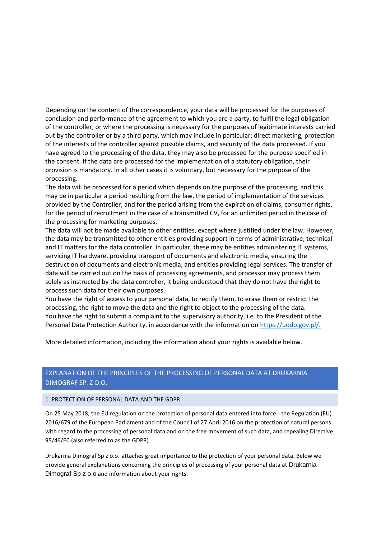Depending on the content of the correspondence, your data will be processed for the purposes of conclusion and performance of the agreement to which you are a party, to fulfil the legal obligation of the controller, or where the processing is necessary for the purposes of legitimate interests carried out by the controller or by a third party, which may include in particular: direct marketing, protection of the interests of the controller against possible claims, and security of the data processed. If you have agreed to the processing of the data, they may also be processed for the purpose specified in the consent. If the data are processed for the implementation of a statutory obligation, their provision is mandatory. In all other cases it is voluntary, but necessary for the purpose of the processing.

The data will be processed for a period which depends on the purpose of the processing, and this may be in particular a period resulting from the law, the period of implementation of the services provided by the Controller, and for the period arising from the expiration of claims, consumer rights, for the period of recruitment in the case of a transmitted CV, for an unlimited period in the case of the processing for marketing purposes,

The data will not be made available to other entities, except where justified under the law. However, the data may be transmitted to other entities providing support in terms of administrative, technical and IT matters for the data controller. In particular, these may be entities administering IT systems, servicing IT hardware, providing transport of documents and electronic media, ensuring the destruction of documents and electronic media, and entities providing legal services. The transfer of data will be carried out on the basis of processing agreements, and processor may process them solely as instructed by the data controller, it being understood that they do not have the right to process such data for their own purposes.

You have the right of access to your personal data, to rectify them, to erase them or restrict the processing, the right to move the data and the right to object to the processing of the data. You have the right to submit a complaint to the supervisory authority, i.e. to the President of the Personal Data Protection Authority, in accordance with the information on [https://uodo.gov.pl/.](https://uodo.gov.pl/)

More detailed information, including the information about your rights is available below.

# EXPLANATION OF THE PRINCIPLES OF THE PROCESSING OF PERSONAL DATA AT DRUKARNIA DIMOGRAF SP. Z O.O.

#### 1. PROTECTION OF PERSONAL DATA AND THE GDPR

On 25 May 2018, the EU regulation on the protection of personal data entered into force - the Regulation (EU) 2016/679 of the European Parliament and of the Council of 27 April 2016 on the protection of natural persons with regard to the processing of personal data and on the free movement of such data, and repealing Directive 95/46/EC (also referred to as the GDPR).

Drukarnia Dimograf Sp z o.o. attaches great importance to the protection of your personal data. Below we provide general explanations concerning the principles of processing of your personal data at Drukarnia Dimograf Sp z o.o and information about your rights.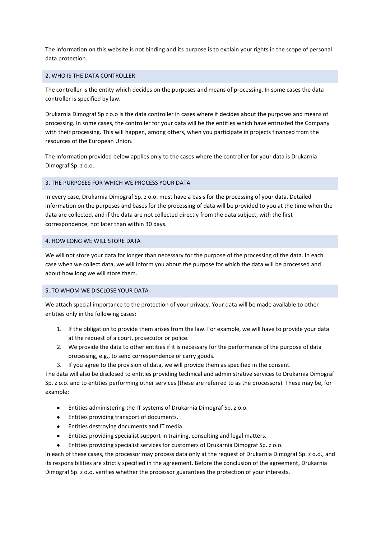The information on this website is not binding and its purpose is to explain your rights in the scope of personal data protection.

#### 2. WHO IS THE DATA CONTROLLER

The controller is the entity which decides on the purposes and means of processing. In some cases the data controller is specified by law.

Drukarnia Dimograf Sp z o.o is the data controller in cases where it decides about the purposes and means of processing. In some cases, the controller for your data will be the entities which have entrusted the Company with their processing. This will happen, among others, when you participate in projects financed from the resources of the European Union.

The information provided below applies only to the cases where the controller for your data is Drukarnia Dimograf Sp. z o.o.

#### 3. THE PURPOSES FOR WHICH WE PROCESS YOUR DATA

In every case, Drukarnia Dimograf Sp. z o.o. must have a basis for the processing of your data. Detailed information on the purposes and bases for the processing of data will be provided to you at the time when the data are collected, and if the data are not collected directly from the data subject, with the first correspondence, not later than within 30 days.

#### 4. HOW LONG WE WILL STORE DATA

We will not store your data for longer than necessary for the purpose of the processing of the data. In each case when we collect data, we will inform you about the purpose for which the data will be processed and about how long we will store them.

#### 5. TO WHOM WE DISCLOSE YOUR DATA

We attach special importance to the protection of your privacy. Your data will be made available to other entities only in the following cases:

- 1. If the obligation to provide them arises from the law. For example, we will have to provide your data at the request of a court, prosecutor or police.
- 2. We provide the data to other entities if it is necessary for the performance of the purpose of data processing, e.g., to send correspondence or carry goods.
- 3. If you agree to the provision of data, we will provide them as specified in the consent.

The data will also be disclosed to entities providing technical and administrative services to Drukarnia Dimograf Sp. z o.o. and to entities performing other services (these are referred to as the processors). These may be, for example:

- Entities administering the IT systems of Drukarnia Dimograf Sp. z o.o.
- Entities providing transport of documents.
- Entities destroying documents and IT media.
- Entities providing specialist support in training, consulting and legal matters.
- Entities providing specialist services for customers of Drukarnia Dimograf Sp. z o.o.

In each of these cases, the processor may process data only at the request of Drukarnia Dimograf Sp. z o.o., and its responsibilities are strictly specified in the agreement. Before the conclusion of the agreement, Drukarnia Dimograf Sp. z o.o. verifies whether the processor guarantees the protection of your interests.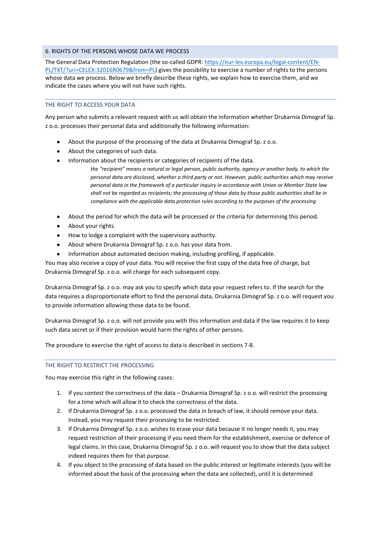#### 6. RIGHTS OF THE PERSONS WHOSE DATA WE PROCESS

The General Data Protection Regulation (the so-called GDPR: [https://eur-lex.europa.eu/legal-content/EN-](https://eur-lex.europa.eu/legal-content/EN-PL/TXT/?uri=CELEX:32016R0679&from=PL)[PL/TXT/?uri=CELEX:32016R0679&from=PL\)](https://eur-lex.europa.eu/legal-content/EN-PL/TXT/?uri=CELEX:32016R0679&from=PL) gives the possibility to exercise a number of rights to the persons whose data we process. Below we briefly describe these rights, we explain how to exercise them, and we indicate the cases where you will not have such rights.

## THE RIGHT TO ACCESS YOUR DATA

Any person who submits a relevant request with us will obtain the information whether Drukarnia Dimograf Sp. z o.o. processes their personal data and additionally the following information:

- About the purpose of the processing of the data at Drukarnia Dimograf Sp. z o.o.
- About the categories of such data.
- $\bullet$ Information about the recipients or categories of recipients of the data.
	- *the "recipient" means a natural or legal person, public authority, agency or another body, to which the personal data are disclosed, whether a third party or not. However, public authorities which may receive personal data in the framework of a particular inquiry in accordance with Union or Member State law shall not be regarded as recipients; the processing of those data by those public authorities shall be in compliance with the applicable data protection rules according to the purposes of the processing*
- About the period for which the data will be processed or the criteria for determining this period.
- About your rights.
- How to lodge a complaint with the supervisory authority.
- About where Drukarnia Dimograf Sp. z o.o. has your data from.
- Information about automated decision making, including profiling, if applicable.

You may also receive a copy of your data. You will receive the first copy of the data free of charge, but Drukarnia Dimograf Sp. z o.o. will charge for each subsequent copy.

Drukarnia Dimograf Sp. z o.o. may ask you to specify which data your request refers to. If the search for the data requires a disproportionate effort to find the personal data, Drukarnia Dimograf Sp. z o.o. will request you to provide information allowing those data to be found.

Drukarnia Dimograf Sp. z o.o. will not provide you with this information and data if the law requires it to keep such data secret or if their provision would harm the rights of other persons.

The procedure to exercise the right of access to data is described in sections 7-8.

#### THE RIGHT TO RESTRICT THE PROCESSING

You may exercise this right in the following cases:

- 1. If you contest the correctness of the data Drukarnia Dimograf Sp. z o.o. will restrict the processing for a time which will allow it to check the correctness of the data.
- 2. If Drukarnia Dimograf Sp. z o.o. processed the data in breach of law, it should remove your data. Instead, you may request their processing to be restricted.
- 3. If Drukarnia Dimograf Sp. z o.o. wishes to erase your data because it no longer needs it, you may request restriction of their processing if you need them for the establishment, exercise or defence of legal claims. In this case, Drukarnia Dimograf Sp. z o.o. will request you to show that the data subject indeed requires them for that purpose.
- 4. If you object to the processing of data based on the public interest or legitimate interests (you will be informed about the basis of the processing when the data are collected), until it is determined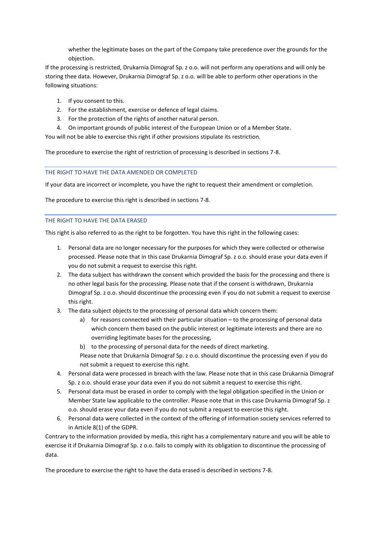whether the legitimate bases on the part of the Company take precedence over the grounds for the objection.

If the processing is restricted, Drukarnia Dimograf Sp. z o.o. will not perform any operations and will only be storing thee data. However, Drukarnia Dimograf Sp. z o.o. will be able to perform other operations in the following situations:

- 1. If you consent to this.
- 2. For the establishment, exercise or defence of legal claims.
- 3. For the protection of the rights of another natural person.
- 4. On important grounds of public interest of the European Union or of a Member State.

You will not be able to exercise this right if other provisions stipulate its restriction.

The procedure to exercise the right of restriction of processing is described in sections 7-8.

THE RIGHT TO HAVE THE DATA AMENDED OR COMPLETED

If your data are incorrect or incomplete, you have the right to request their amendment or completion.

The procedure to exercise this right is described in sections 7-8.

## THE RIGHT TO HAVE THE DATA ERASED

This right is also referred to as the right to be forgotten. You have this right in the following cases:

- 1. Personal data are no longer necessary for the purposes for which they were collected or otherwise processed. Please note that in this case Drukarnia Dimograf Sp. z o.o. should erase your data even if you do not submit a request to exercise this right.
- 2. The data subject has withdrawn the consent which provided the basis for the processing and there is no other legal basis for the processing. Please note that if the consent is withdrawn, Drukarnia Dimograf Sp. z o.o. should discontinue the processing even if you do not submit a request to exercise this right.
- 3. The data subject objects to the processing of personal data which concern them:
	- a) for reasons connected with their particular situation to the processing of personal data which concern them based on the public interest or legitimate interests and there are no overriding legitimate bases for the processing,
	- b) to the processing of personal data for the needs of direct marketing.
	- Please note that Drukarnia Dimograf Sp. z o.o. should discontinue the processing even if you do not submit a request to exercise this right.
- 4. Personal data were processed in breach with the law. Please note that in this case Drukarnia Dimograf Sp. z o.o. should erase your data even if you do not submit a request to exercise this right.
- 5. Personal data must be erased in order to comply with the legal obligation specified in the Union or Member State law applicable to the controller. Please note that in this case Drukarnia Dimograf Sp. z o.o. should erase your data even if you do not submit a request to exercise this right.
- 6. Personal data were collected in the context of the offering of information society services referred to in Article 8(1) of the GDPR.

Contrary to the information provided by media, this right has a complementary nature and you will be able to exercise it if Drukarnia Dimograf Sp. z o.o. fails to comply with its obligation to discontinue the processing of data.

The procedure to exercise the right to have the data erased is described in sections 7-8.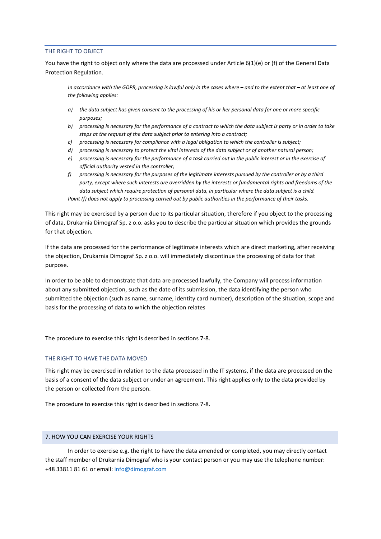#### THE RIGHT TO OBJECT

You have the right to object only where the data are processed under Article 6(1)(e) or (f) of the General Data Protection Regulation.

*In accordance with the GDPR, processing is lawful only in the cases where – and to the extent that – at least one of the following applies:*

- *a) the data subject has given consent to the processing of his or her personal data for one or more specific purposes;*
- *b) processing is necessary for the performance of a contract to which the data subject is party or in order to take steps at the request of the data subject prior to entering into a contract;*
- *c) processing is necessary for compliance with a legal obligation to which the controller is subject;*
- *d) processing is necessary to protect the vital interests of the data subject or of another natural person;*
- *e) processing is necessary for the performance of a task carried out in the public interest or in the exercise of official authority vested in the controller;*
- *f) processing is necessary for the purposes of the legitimate interests pursued by the controller or by a third party, except where such interests are overridden by the interests or fundamental rights and freedoms of the data subject which require protection of personal data, in particular where the data subject is a child. Point (f) does not apply to processing carried out by public authorities in the performance of their tasks.*

This right may be exercised by a person due to its particular situation, therefore if you object to the processing of data, Drukarnia Dimograf Sp. z o.o. asks you to describe the particular situation which provides the grounds for that objection.

If the data are processed for the performance of legitimate interests which are direct marketing, after receiving the objection, Drukarnia Dimograf Sp. z o.o. will immediately discontinue the processing of data for that purpose.

In order to be able to demonstrate that data are processed lawfully, the Company will process information about any submitted objection, such as the date of its submission, the data identifying the person who submitted the objection (such as name, surname, identity card number), description of the situation, scope and basis for the processing of data to which the objection relates

The procedure to exercise this right is described in sections 7-8.

## THE RIGHT TO HAVE THE DATA MOVED

This right may be exercised in relation to the data processed in the IT systems, if the data are processed on the basis of a consent of the data subject or under an agreement. This right applies only to the data provided by the person or collected from the person.

The procedure to exercise this right is described in sections 7-8.

## 7. HOW YOU CAN EXERCISE YOUR RIGHTS

In order to exercise e.g. the right to have the data amended or completed, you may directly contact the staff member of Drukarnia Dimograf who is your contact person or you may use the telephone number: +48 33811 81 61 or email: [info@dimograf.com](mailto:info@dimograf.com)